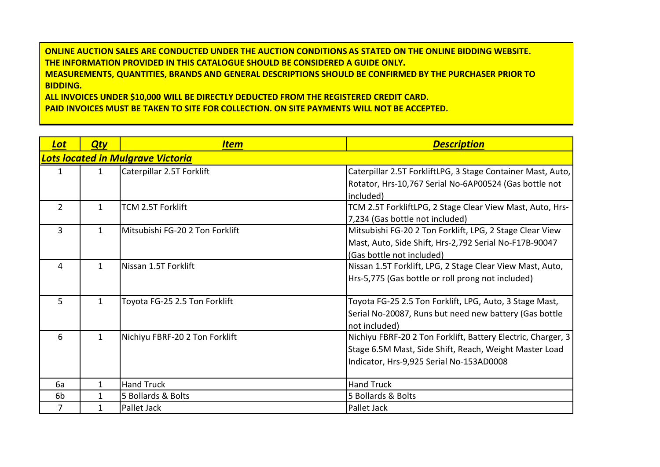**ONLINE AUCTION SALES ARE CONDUCTED UNDER THE AUCTION CONDITIONS AS STATED ON THE ONLINE BIDDING WEBSITE. THE INFORMATION PROVIDED IN THIS CATALOGUE SHOULD BE CONSIDERED A GUIDE ONLY. MEASUREMENTS, QUANTITIES, BRANDS AND GENERAL DESCRIPTIONS SHOULD BE CONFIRMED BY THE PURCHASER PRIOR TO BIDDING.**

**ALL INVOICES UNDER \$10,000 WILL BE DIRECTLY DEDUCTED FROM THE REGISTERED CREDIT CARD. PAID INVOICES MUST BE TAKEN TO SITE FOR COLLECTION. ON SITE PAYMENTS WILL NOT BE ACCEPTED.**

| <b>Lot</b>     | <b>Qty</b>   | <u>Item</u>                       | <b>Description</b>                                           |
|----------------|--------------|-----------------------------------|--------------------------------------------------------------|
|                |              | Lots located in Mulgrave Victoria |                                                              |
| 1              | $\mathbf{1}$ | Caterpillar 2.5T Forklift         | Caterpillar 2.5T ForkliftLPG, 3 Stage Container Mast, Auto,  |
|                |              |                                   | Rotator, Hrs-10,767 Serial No-6AP00524 (Gas bottle not       |
|                |              |                                   | included)                                                    |
| $\overline{2}$ | $\mathbf{1}$ | TCM 2.5T Forklift                 | TCM 2.5T ForkliftLPG, 2 Stage Clear View Mast, Auto, Hrs-    |
|                |              |                                   | 7,234 (Gas bottle not included)                              |
| 3              | 1            | Mitsubishi FG-20 2 Ton Forklift   | Mitsubishi FG-20 2 Ton Forklift, LPG, 2 Stage Clear View     |
|                |              |                                   | Mast, Auto, Side Shift, Hrs-2,792 Serial No-F17B-90047       |
|                |              |                                   | (Gas bottle not included)                                    |
| 4              | $\mathbf{1}$ | Nissan 1.5T Forklift              | Nissan 1.5T Forklift, LPG, 2 Stage Clear View Mast, Auto,    |
|                |              |                                   | Hrs-5,775 (Gas bottle or roll prong not included)            |
|                |              |                                   |                                                              |
| 5              | $\mathbf{1}$ | Toyota FG-25 2.5 Ton Forklift     | Toyota FG-25 2.5 Ton Forklift, LPG, Auto, 3 Stage Mast,      |
|                |              |                                   | Serial No-20087, Runs but need new battery (Gas bottle       |
|                |              |                                   | not included)                                                |
| 6              | $\mathbf{1}$ | Nichiyu FBRF-20 2 Ton Forklift    | Nichiyu FBRF-20 2 Ton Forklift, Battery Electric, Charger, 3 |
|                |              |                                   | Stage 6.5M Mast, Side Shift, Reach, Weight Master Load       |
|                |              |                                   | Indicator, Hrs-9,925 Serial No-153AD0008                     |
|                |              |                                   |                                                              |
| 6a             |              | <b>Hand Truck</b>                 | <b>Hand Truck</b>                                            |
| 6 <sub>b</sub> | 1            | 5 Bollards & Bolts                | 5 Bollards & Bolts                                           |
| 7              | 1            | Pallet Jack                       | Pallet Jack                                                  |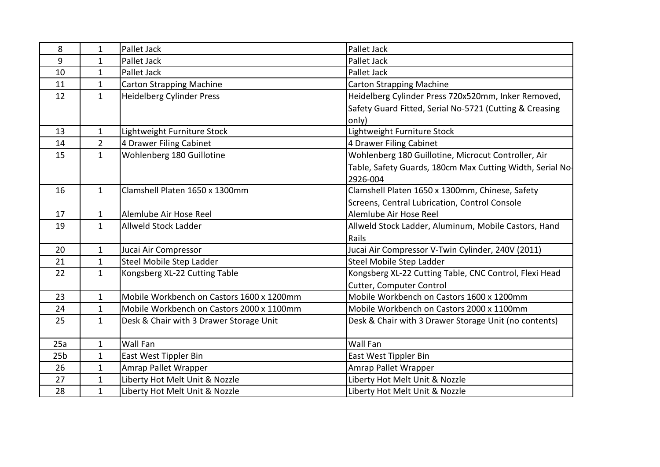| 8               | $\mathbf{1}$ | Pallet Jack                               | Pallet Jack                                               |
|-----------------|--------------|-------------------------------------------|-----------------------------------------------------------|
| 9               | 1            | Pallet Jack                               | Pallet Jack                                               |
| 10              | 1            | Pallet Jack                               | Pallet Jack                                               |
| 11              | $\mathbf{1}$ | <b>Carton Strapping Machine</b>           | <b>Carton Strapping Machine</b>                           |
| 12              | $\mathbf{1}$ | Heidelberg Cylinder Press                 | Heidelberg Cylinder Press 720x520mm, Inker Removed,       |
|                 |              |                                           | Safety Guard Fitted, Serial No-5721 (Cutting & Creasing   |
|                 |              |                                           | only)                                                     |
| 13              | $\mathbf{1}$ | Lightweight Furniture Stock               | Lightweight Furniture Stock                               |
| 14              | 2            | 4 Drawer Filing Cabinet                   | 4 Drawer Filing Cabinet                                   |
| 15              | $\mathbf{1}$ | Wohlenberg 180 Guillotine                 | Wohlenberg 180 Guillotine, Microcut Controller, Air       |
|                 |              |                                           | Table, Safety Guards, 180cm Max Cutting Width, Serial No- |
|                 |              |                                           | 2926-004                                                  |
| 16              | $\mathbf{1}$ | Clamshell Platen 1650 x 1300mm            | Clamshell Platen 1650 x 1300mm, Chinese, Safety           |
|                 |              |                                           | Screens, Central Lubrication, Control Console             |
| 17              | 1            | Alemlube Air Hose Reel                    | Alemlube Air Hose Reel                                    |
| 19              | $\mathbf{1}$ | Allweld Stock Ladder                      | Allweld Stock Ladder, Aluminum, Mobile Castors, Hand      |
|                 |              |                                           | Rails                                                     |
| 20              | $\mathbf{1}$ | Jucai Air Compressor                      | Jucai Air Compressor V-Twin Cylinder, 240V (2011)         |
| 21              | 1            | Steel Mobile Step Ladder                  | Steel Mobile Step Ladder                                  |
| 22              | $\mathbf{1}$ | Kongsberg XL-22 Cutting Table             | Kongsberg XL-22 Cutting Table, CNC Control, Flexi Head    |
|                 |              |                                           | Cutter, Computer Control                                  |
| 23              | $\mathbf{1}$ | Mobile Workbench on Castors 1600 x 1200mm | Mobile Workbench on Castors 1600 x 1200mm                 |
| 24              | 1            | Mobile Workbench on Castors 2000 x 1100mm | Mobile Workbench on Castors 2000 x 1100mm                 |
| 25              | $\mathbf{1}$ | Desk & Chair with 3 Drawer Storage Unit   | Desk & Chair with 3 Drawer Storage Unit (no contents)     |
|                 |              |                                           |                                                           |
| 25a             | $\mathbf{1}$ | Wall Fan                                  | <b>Wall Fan</b>                                           |
| 25 <sub>b</sub> | 1            | East West Tippler Bin                     | East West Tippler Bin                                     |
| 26              | $\mathbf{1}$ | Amrap Pallet Wrapper                      | Amrap Pallet Wrapper                                      |
| 27              | $\mathbf{1}$ | Liberty Hot Melt Unit & Nozzle            | Liberty Hot Melt Unit & Nozzle                            |
| 28              | $\mathbf{1}$ | Liberty Hot Melt Unit & Nozzle            | Liberty Hot Melt Unit & Nozzle                            |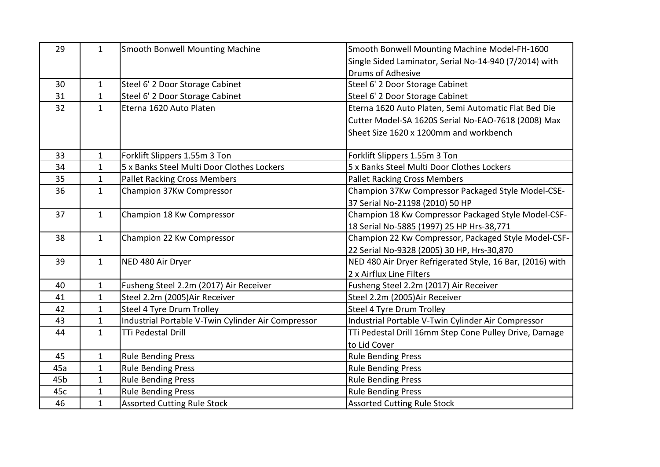| 29              | $\mathbf{1}$ | Smooth Bonwell Mounting Machine                    | Smooth Bonwell Mounting Machine Model-FH-1600             |
|-----------------|--------------|----------------------------------------------------|-----------------------------------------------------------|
|                 |              |                                                    | Single Sided Laminator, Serial No-14-940 (7/2014) with    |
|                 |              |                                                    | Drums of Adhesive                                         |
| 30              | $\mathbf{1}$ | Steel 6' 2 Door Storage Cabinet                    | Steel 6' 2 Door Storage Cabinet                           |
| 31              | $\mathbf{1}$ | Steel 6' 2 Door Storage Cabinet                    | Steel 6' 2 Door Storage Cabinet                           |
| 32              | $\mathbf{1}$ | Eterna 1620 Auto Platen                            | Eterna 1620 Auto Platen, Semi Automatic Flat Bed Die      |
|                 |              |                                                    | Cutter Model-SA 1620S Serial No-EAO-7618 (2008) Max       |
|                 |              |                                                    | Sheet Size 1620 x 1200mm and workbench                    |
| 33              | $\mathbf{1}$ | Forklift Slippers 1.55m 3 Ton                      | Forklift Slippers 1.55m 3 Ton                             |
| 34              | $\mathbf{1}$ | 5 x Banks Steel Multi Door Clothes Lockers         | 5 x Banks Steel Multi Door Clothes Lockers                |
| 35              | $\mathbf{1}$ | <b>Pallet Racking Cross Members</b>                | <b>Pallet Racking Cross Members</b>                       |
| 36              | $\mathbf{1}$ | Champion 37Kw Compressor                           | Champion 37Kw Compressor Packaged Style Model-CSE-        |
|                 |              |                                                    | 37 Serial No-21198 (2010) 50 HP                           |
| 37              | $\mathbf{1}$ | Champion 18 Kw Compressor                          | Champion 18 Kw Compressor Packaged Style Model-CSF-       |
|                 |              |                                                    | 18 Serial No-5885 (1997) 25 HP Hrs-38,771                 |
| 38              | $\mathbf{1}$ | Champion 22 Kw Compressor                          | Champion 22 Kw Compressor, Packaged Style Model-CSF-      |
|                 |              |                                                    | 22 Serial No-9328 (2005) 30 HP, Hrs-30,870                |
| 39              | $\mathbf{1}$ | NED 480 Air Dryer                                  | NED 480 Air Dryer Refrigerated Style, 16 Bar, (2016) with |
|                 |              |                                                    | 2 x Airflux Line Filters                                  |
| 40              | $\mathbf{1}$ | Fusheng Steel 2.2m (2017) Air Receiver             | Fusheng Steel 2.2m (2017) Air Receiver                    |
| 41              | $\mathbf{1}$ | Steel 2.2m (2005) Air Receiver                     | Steel 2.2m (2005) Air Receiver                            |
| 42              | $\mathbf{1}$ | Steel 4 Tyre Drum Trolley                          | Steel 4 Tyre Drum Trolley                                 |
| 43              | $\mathbf 1$  | Industrial Portable V-Twin Cylinder Air Compressor | Industrial Portable V-Twin Cylinder Air Compressor        |
| 44              | $\mathbf{1}$ | <b>TTi Pedestal Drill</b>                          | TTi Pedestal Drill 16mm Step Cone Pulley Drive, Damage    |
|                 |              |                                                    | to Lid Cover                                              |
| 45              | $\mathbf{1}$ | <b>Rule Bending Press</b>                          | <b>Rule Bending Press</b>                                 |
| 45a             | $\mathbf{1}$ | <b>Rule Bending Press</b>                          | <b>Rule Bending Press</b>                                 |
| 45 <sub>b</sub> | $\mathbf{1}$ | <b>Rule Bending Press</b>                          | <b>Rule Bending Press</b>                                 |
| 45c             | $\mathbf{1}$ | <b>Rule Bending Press</b>                          | <b>Rule Bending Press</b>                                 |
| 46              | $\mathbf{1}$ | <b>Assorted Cutting Rule Stock</b>                 | <b>Assorted Cutting Rule Stock</b>                        |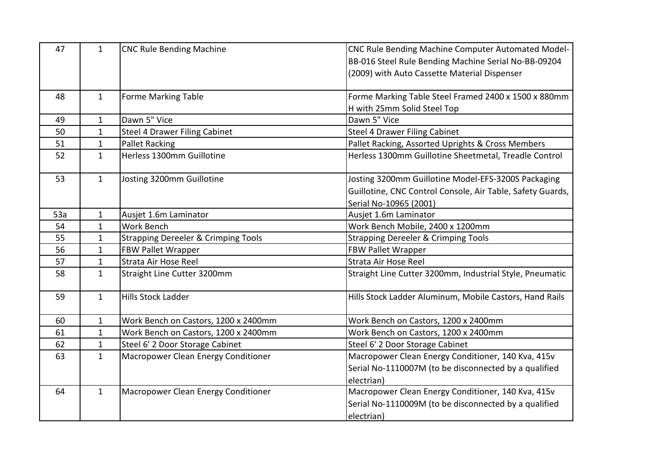| 47  | $\mathbf{1}$ | <b>CNC Rule Bending Machine</b>                | CNC Rule Bending Machine Computer Automated Model-         |
|-----|--------------|------------------------------------------------|------------------------------------------------------------|
|     |              |                                                | BB-016 Steel Rule Bending Machine Serial No-BB-09204       |
|     |              |                                                | (2009) with Auto Cassette Material Dispenser               |
|     |              |                                                |                                                            |
| 48  | $\mathbf{1}$ | <b>Forme Marking Table</b>                     | Forme Marking Table Steel Framed 2400 x 1500 x 880mm       |
|     |              |                                                | H with 25mm Solid Steel Top                                |
| 49  | $\mathbf{1}$ | Dawn 5" Vice                                   | Dawn 5" Vice                                               |
| 50  | $\mathbf{1}$ | <b>Steel 4 Drawer Filing Cabinet</b>           | <b>Steel 4 Drawer Filing Cabinet</b>                       |
| 51  | $\mathbf{1}$ | <b>Pallet Racking</b>                          | Pallet Racking, Assorted Uprights & Cross Members          |
| 52  | $\mathbf{1}$ | Herless 1300mm Guillotine                      | Herless 1300mm Guillotine Sheetmetal, Treadle Control      |
|     |              |                                                |                                                            |
| 53  | $\mathbf{1}$ | Josting 3200mm Guillotine                      | Josting 3200mm Guillotine Model-EFS-3200S Packaging        |
|     |              |                                                | Guillotine, CNC Control Console, Air Table, Safety Guards, |
|     |              |                                                | Serial No-10965 (2001)                                     |
| 53a | $\mathbf{1}$ | Ausjet 1.6m Laminator                          | Ausjet 1.6m Laminator                                      |
| 54  | $\mathbf{1}$ | Work Bench                                     | Work Bench Mobile, 2400 x 1200mm                           |
| 55  | $\mathbf{1}$ | <b>Strapping Dereeler &amp; Crimping Tools</b> | <b>Strapping Dereeler &amp; Crimping Tools</b>             |
| 56  | $\mathbf{1}$ | <b>FBW Pallet Wrapper</b>                      | <b>FBW Pallet Wrapper</b>                                  |
| 57  | $\mathbf{1}$ | Strata Air Hose Reel                           | Strata Air Hose Reel                                       |
| 58  | $\mathbf{1}$ | Straight Line Cutter 3200mm                    | Straight Line Cutter 3200mm, Industrial Style, Pneumatic   |
|     |              |                                                |                                                            |
| 59  | $\mathbf{1}$ | <b>Hills Stock Ladder</b>                      | Hills Stock Ladder Aluminum, Mobile Castors, Hand Rails    |
|     |              |                                                |                                                            |
| 60  | $\mathbf{1}$ | Work Bench on Castors, 1200 x 2400mm           | Work Bench on Castors, 1200 x 2400mm                       |
| 61  | 1            | Work Bench on Castors, 1200 x 2400mm           | Work Bench on Castors, 1200 x 2400mm                       |
| 62  | $\mathbf{1}$ | Steel 6' 2 Door Storage Cabinet                | Steel 6' 2 Door Storage Cabinet                            |
| 63  | $\mathbf{1}$ | Macropower Clean Energy Conditioner            | Macropower Clean Energy Conditioner, 140 Kva, 415v         |
|     |              |                                                | Serial No-1110007M (to be disconnected by a qualified      |
|     |              |                                                | electrian)                                                 |
| 64  | $\mathbf{1}$ | Macropower Clean Energy Conditioner            | Macropower Clean Energy Conditioner, 140 Kva, 415v         |
|     |              |                                                | Serial No-1110009M (to be disconnected by a qualified      |
|     |              |                                                | electrian)                                                 |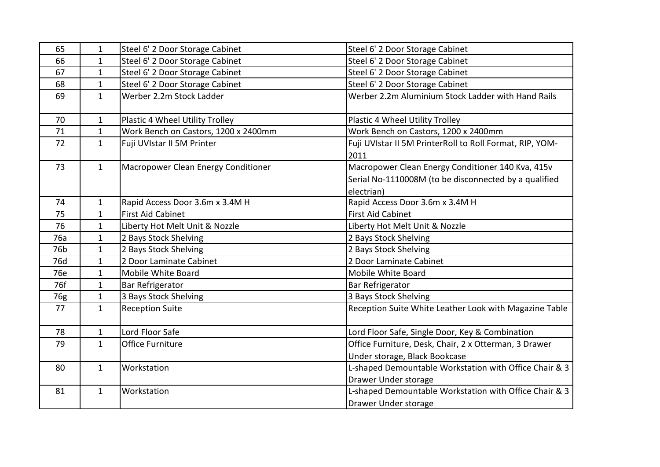| 65  | $\mathbf{1}$ | Steel 6' 2 Door Storage Cabinet      | Steel 6' 2 Door Storage Cabinet                          |
|-----|--------------|--------------------------------------|----------------------------------------------------------|
| 66  | $\mathbf{1}$ | Steel 6' 2 Door Storage Cabinet      | Steel 6' 2 Door Storage Cabinet                          |
| 67  | $\mathbf{1}$ | Steel 6' 2 Door Storage Cabinet      | Steel 6' 2 Door Storage Cabinet                          |
| 68  | $\mathbf{1}$ | Steel 6' 2 Door Storage Cabinet      | Steel 6' 2 Door Storage Cabinet                          |
| 69  | $\mathbf{1}$ | Werber 2.2m Stock Ladder             | Werber 2.2m Aluminium Stock Ladder with Hand Rails       |
|     |              |                                      |                                                          |
| 70  | $\mathbf{1}$ | Plastic 4 Wheel Utility Trolley      | Plastic 4 Wheel Utility Trolley                          |
| 71  | $\mathbf{1}$ | Work Bench on Castors, 1200 x 2400mm | Work Bench on Castors, 1200 x 2400mm                     |
| 72  | $\mathbf{1}$ | Fuji UVIstar II 5M Printer           | Fuji UVIstar II 5M PrinterRoll to Roll Format, RIP, YOM- |
|     |              |                                      | 2011                                                     |
| 73  | $\mathbf{1}$ | Macropower Clean Energy Conditioner  | Macropower Clean Energy Conditioner 140 Kva, 415v        |
|     |              |                                      | Serial No-1110008M (to be disconnected by a qualified    |
|     |              |                                      | electrian)                                               |
| 74  | $\mathbf{1}$ | Rapid Access Door 3.6m x 3.4M H      | Rapid Access Door 3.6m x 3.4M H                          |
| 75  | $\mathbf{1}$ | <b>First Aid Cabinet</b>             | <b>First Aid Cabinet</b>                                 |
| 76  | $\mathbf 1$  | Liberty Hot Melt Unit & Nozzle       | Liberty Hot Melt Unit & Nozzle                           |
| 76a | $\mathbf{1}$ | 2 Bays Stock Shelving                | 2 Bays Stock Shelving                                    |
| 76b | $\mathbf{1}$ | 2 Bays Stock Shelving                | 2 Bays Stock Shelving                                    |
| 76d | $\mathbf{1}$ | 2 Door Laminate Cabinet              | 2 Door Laminate Cabinet                                  |
| 76e | $\mathbf{1}$ | Mobile White Board                   | Mobile White Board                                       |
| 76f | $\mathbf{1}$ | <b>Bar Refrigerator</b>              | Bar Refrigerator                                         |
| 76g | $\mathbf{1}$ | 3 Bays Stock Shelving                | 3 Bays Stock Shelving                                    |
| 77  | $\mathbf{1}$ | <b>Reception Suite</b>               | Reception Suite White Leather Look with Magazine Table   |
|     |              |                                      |                                                          |
| 78  | $\mathbf{1}$ | Lord Floor Safe                      | Lord Floor Safe, Single Door, Key & Combination          |
| 79  | $\mathbf{1}$ | Office Furniture                     | Office Furniture, Desk, Chair, 2 x Otterman, 3 Drawer    |
|     |              |                                      | Under storage, Black Bookcase                            |
| 80  | $\mathbf{1}$ | Workstation                          | L-shaped Demountable Workstation with Office Chair & 3   |
|     |              |                                      | Drawer Under storage                                     |
| 81  | $\mathbf{1}$ | Workstation                          | L-shaped Demountable Workstation with Office Chair & 3   |
|     |              |                                      | Drawer Under storage                                     |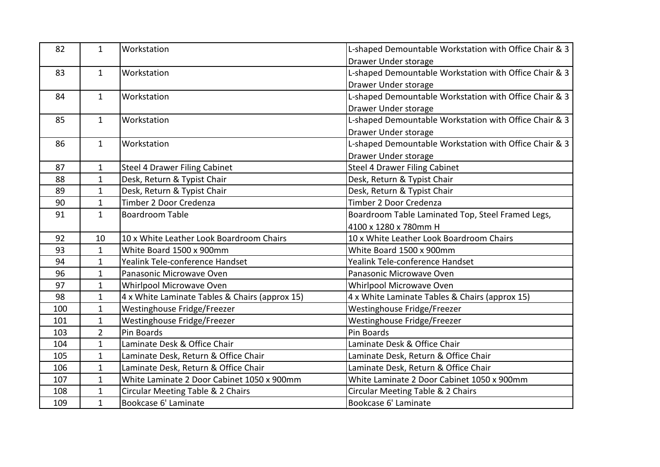| 82  | $\mathbf{1}$   | Workstation                                    | L-shaped Demountable Workstation with Office Chair & 3 |
|-----|----------------|------------------------------------------------|--------------------------------------------------------|
|     |                |                                                | Drawer Under storage                                   |
| 83  | $\mathbf{1}$   | Workstation                                    | L-shaped Demountable Workstation with Office Chair & 3 |
|     |                |                                                | Drawer Under storage                                   |
| 84  | $\mathbf{1}$   | Workstation                                    | L-shaped Demountable Workstation with Office Chair & 3 |
|     |                |                                                | Drawer Under storage                                   |
| 85  | $\mathbf{1}$   | Workstation                                    | L-shaped Demountable Workstation with Office Chair & 3 |
|     |                |                                                | Drawer Under storage                                   |
| 86  | $\mathbf{1}$   | Workstation                                    | L-shaped Demountable Workstation with Office Chair & 3 |
|     |                |                                                | Drawer Under storage                                   |
| 87  | $\mathbf{1}$   | <b>Steel 4 Drawer Filing Cabinet</b>           | <b>Steel 4 Drawer Filing Cabinet</b>                   |
| 88  | $\mathbf{1}$   | Desk, Return & Typist Chair                    | Desk, Return & Typist Chair                            |
| 89  | $\mathbf{1}$   | Desk, Return & Typist Chair                    | Desk, Return & Typist Chair                            |
| 90  | $\mathbf{1}$   | Timber 2 Door Credenza                         | Timber 2 Door Credenza                                 |
| 91  | $\mathbf{1}$   | <b>Boardroom Table</b>                         | Boardroom Table Laminated Top, Steel Framed Legs,      |
|     |                |                                                | 4100 x 1280 x 780mm H                                  |
| 92  | 10             | 10 x White Leather Look Boardroom Chairs       | 10 x White Leather Look Boardroom Chairs               |
| 93  | $\mathbf{1}$   | White Board 1500 x 900mm                       | White Board 1500 x 900mm                               |
| 94  | $\mathbf{1}$   | Yealink Tele-conference Handset                | Yealink Tele-conference Handset                        |
| 96  | $\mathbf{1}$   | Panasonic Microwave Oven                       | Panasonic Microwave Oven                               |
| 97  | $\mathbf{1}$   | Whirlpool Microwave Oven                       | Whirlpool Microwave Oven                               |
| 98  | $\mathbf{1}$   | 4 x White Laminate Tables & Chairs (approx 15) | 4 x White Laminate Tables & Chairs (approx 15)         |
| 100 | $\mathbf{1}$   | Westinghouse Fridge/Freezer                    | Westinghouse Fridge/Freezer                            |
| 101 | $\mathbf{1}$   | Westinghouse Fridge/Freezer                    | Westinghouse Fridge/Freezer                            |
| 103 | $\overline{2}$ | Pin Boards                                     | Pin Boards                                             |
| 104 | $\mathbf{1}$   | Laminate Desk & Office Chair                   | Laminate Desk & Office Chair                           |
| 105 | $\mathbf{1}$   | Laminate Desk, Return & Office Chair           | Laminate Desk, Return & Office Chair                   |
| 106 | $\mathbf{1}$   | Laminate Desk, Return & Office Chair           | Laminate Desk, Return & Office Chair                   |
| 107 | $\mathbf{1}$   | White Laminate 2 Door Cabinet 1050 x 900mm     | White Laminate 2 Door Cabinet 1050 x 900mm             |
| 108 | $\mathbf{1}$   | Circular Meeting Table & 2 Chairs              | Circular Meeting Table & 2 Chairs                      |
| 109 | $\mathbf{1}$   | Bookcase 6' Laminate                           | Bookcase 6' Laminate                                   |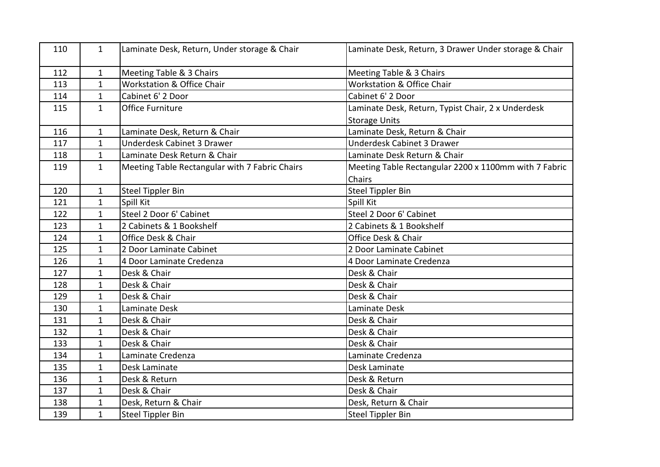| 110 | $\mathbf{1}$ | Laminate Desk, Return, Under storage & Chair   | Laminate Desk, Return, 3 Drawer Under storage & Chair |
|-----|--------------|------------------------------------------------|-------------------------------------------------------|
| 112 | $\mathbf{1}$ | Meeting Table & 3 Chairs                       | Meeting Table & 3 Chairs                              |
| 113 | $\mathbf{1}$ | Workstation & Office Chair                     | Workstation & Office Chair                            |
| 114 | $\mathbf{1}$ | Cabinet 6' 2 Door                              | Cabinet 6' 2 Door                                     |
| 115 | $\mathbf{1}$ | Office Furniture                               | Laminate Desk, Return, Typist Chair, 2 x Underdesk    |
|     |              |                                                | <b>Storage Units</b>                                  |
| 116 | $\mathbf{1}$ | Laminate Desk, Return & Chair                  | Laminate Desk, Return & Chair                         |
| 117 | $\mathbf{1}$ | Underdesk Cabinet 3 Drawer                     | <b>Underdesk Cabinet 3 Drawer</b>                     |
| 118 | $\mathbf{1}$ | Laminate Desk Return & Chair                   | Laminate Desk Return & Chair                          |
| 119 | $\mathbf{1}$ | Meeting Table Rectangular with 7 Fabric Chairs | Meeting Table Rectangular 2200 x 1100mm with 7 Fabric |
|     |              |                                                | Chairs                                                |
| 120 | $\mathbf{1}$ | <b>Steel Tippler Bin</b>                       | <b>Steel Tippler Bin</b>                              |
| 121 | $\mathbf{1}$ | Spill Kit                                      | Spill Kit                                             |
| 122 | $\mathbf{1}$ | Steel 2 Door 6' Cabinet                        | Steel 2 Door 6' Cabinet                               |
| 123 | $\mathbf{1}$ | 2 Cabinets & 1 Bookshelf                       | 2 Cabinets & 1 Bookshelf                              |
| 124 | $\mathbf{1}$ | Office Desk & Chair                            | Office Desk & Chair                                   |
| 125 | $\mathbf{1}$ | 2 Door Laminate Cabinet                        | 2 Door Laminate Cabinet                               |
| 126 | $\mathbf{1}$ | 4 Door Laminate Credenza                       | 4 Door Laminate Credenza                              |
| 127 | $\mathbf{1}$ | Desk & Chair                                   | Desk & Chair                                          |
| 128 | $\mathbf{1}$ | Desk & Chair                                   | Desk & Chair                                          |
| 129 | $\mathbf{1}$ | Desk & Chair                                   | Desk & Chair                                          |
| 130 | $\mathbf{1}$ | Laminate Desk                                  | Laminate Desk                                         |
| 131 | $\mathbf{1}$ | Desk & Chair                                   | Desk & Chair                                          |
| 132 | $\mathbf{1}$ | Desk & Chair                                   | Desk & Chair                                          |
| 133 | $\mathbf{1}$ | Desk & Chair                                   | Desk & Chair                                          |
| 134 | $\mathbf{1}$ | Laminate Credenza                              | Laminate Credenza                                     |
| 135 | $\mathbf{1}$ | Desk Laminate                                  | Desk Laminate                                         |
| 136 | $\mathbf{1}$ | Desk & Return                                  | Desk & Return                                         |
| 137 | $\mathbf{1}$ | Desk & Chair                                   | Desk & Chair                                          |
| 138 | $\mathbf{1}$ | Desk, Return & Chair                           | Desk, Return & Chair                                  |
| 139 | $\mathbf{1}$ | <b>Steel Tippler Bin</b>                       | <b>Steel Tippler Bin</b>                              |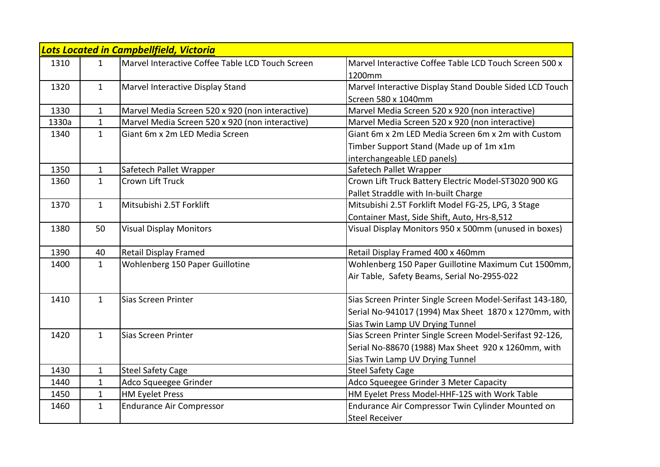|       | Lots Located in Campbellfield, Victoria |                                                  |                                                           |  |  |
|-------|-----------------------------------------|--------------------------------------------------|-----------------------------------------------------------|--|--|
| 1310  | $\mathbf{1}$                            | Marvel Interactive Coffee Table LCD Touch Screen | Marvel Interactive Coffee Table LCD Touch Screen 500 x    |  |  |
|       |                                         |                                                  | 1200mm                                                    |  |  |
| 1320  | $\mathbf{1}$                            | Marvel Interactive Display Stand                 | Marvel Interactive Display Stand Double Sided LCD Touch   |  |  |
|       |                                         |                                                  | Screen 580 x 1040mm                                       |  |  |
| 1330  | $\mathbf 1$                             | Marvel Media Screen 520 x 920 (non interactive)  | Marvel Media Screen 520 x 920 (non interactive)           |  |  |
| 1330a | $\mathbf{1}$                            | Marvel Media Screen 520 x 920 (non interactive)  | Marvel Media Screen 520 x 920 (non interactive)           |  |  |
| 1340  | $\mathbf{1}$                            | Giant 6m x 2m LED Media Screen                   | Giant 6m x 2m LED Media Screen 6m x 2m with Custom        |  |  |
|       |                                         |                                                  | Timber Support Stand (Made up of 1m x1m                   |  |  |
|       |                                         |                                                  | interchangeable LED panels)                               |  |  |
| 1350  | $\mathbf{1}$                            | Safetech Pallet Wrapper                          | Safetech Pallet Wrapper                                   |  |  |
| 1360  | $\mathbf{1}$                            | Crown Lift Truck                                 | Crown Lift Truck Battery Electric Model-ST3020 900 KG     |  |  |
|       |                                         |                                                  | Pallet Straddle with In-built Charge                      |  |  |
| 1370  | $\mathbf{1}$                            | Mitsubishi 2.5T Forklift                         | Mitsubishi 2.5T Forklift Model FG-25, LPG, 3 Stage        |  |  |
|       |                                         |                                                  | Container Mast, Side Shift, Auto, Hrs-8,512               |  |  |
| 1380  | 50                                      | <b>Visual Display Monitors</b>                   | Visual Display Monitors 950 x 500mm (unused in boxes)     |  |  |
|       |                                         |                                                  |                                                           |  |  |
| 1390  | 40                                      | <b>Retail Display Framed</b>                     | Retail Display Framed 400 x 460mm                         |  |  |
| 1400  | $\mathbf{1}$                            | Wohlenberg 150 Paper Guillotine                  | Wohlenberg 150 Paper Guillotine Maximum Cut 1500mm,       |  |  |
|       |                                         |                                                  | Air Table, Safety Beams, Serial No-2955-022               |  |  |
|       |                                         |                                                  |                                                           |  |  |
| 1410  | $\mathbf{1}$                            | Sias Screen Printer                              | Sias Screen Printer Single Screen Model-Serifast 143-180, |  |  |
|       |                                         |                                                  | Serial No-941017 (1994) Max Sheet 1870 x 1270mm, with     |  |  |
|       |                                         |                                                  | Sias Twin Lamp UV Drying Tunnel                           |  |  |
| 1420  | $\mathbf{1}$                            | Sias Screen Printer                              | Sias Screen Printer Single Screen Model-Serifast 92-126,  |  |  |
|       |                                         |                                                  | Serial No-88670 (1988) Max Sheet 920 x 1260mm, with       |  |  |
|       |                                         |                                                  | Sias Twin Lamp UV Drying Tunnel                           |  |  |
| 1430  | $\mathbf{1}$                            | <b>Steel Safety Cage</b>                         | <b>Steel Safety Cage</b>                                  |  |  |
| 1440  | $\mathbf{1}$                            | Adco Squeegee Grinder                            | Adco Squeegee Grinder 3 Meter Capacity                    |  |  |
| 1450  | $\mathbf{1}$                            | <b>HM Eyelet Press</b>                           | HM Eyelet Press Model-HHF-12S with Work Table             |  |  |
| 1460  | $\mathbf{1}$                            | <b>Endurance Air Compressor</b>                  | Endurance Air Compressor Twin Cylinder Mounted on         |  |  |
|       |                                         |                                                  | <b>Steel Receiver</b>                                     |  |  |